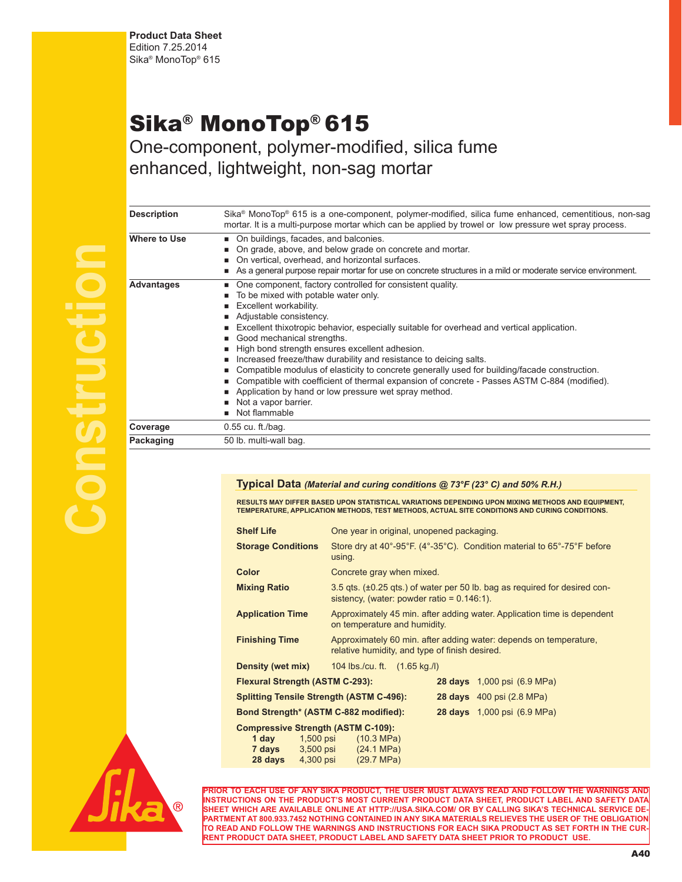## Sika® MonoTop® 615

One-component, polymer-modified, silica fume enhanced, lightweight, non-sag mortar

| <b>Description</b>  | Sika® MonoTop® 615 is a one-component, polymer-modified, silica fume enhanced, cementitious, non-sag<br>mortar. It is a multi-purpose mortar which can be applied by trowel or low pressure wet spray process.                                                                                                                                                                                                                                                                                                                                                                                                                                                                                                              |  |  |
|---------------------|-----------------------------------------------------------------------------------------------------------------------------------------------------------------------------------------------------------------------------------------------------------------------------------------------------------------------------------------------------------------------------------------------------------------------------------------------------------------------------------------------------------------------------------------------------------------------------------------------------------------------------------------------------------------------------------------------------------------------------|--|--|
| <b>Where to Use</b> | • On buildings, facades, and balconies.<br>• On grade, above, and below grade on concrete and mortar.<br>■ On vertical, overhead, and horizontal surfaces.<br>As a general purpose repair mortar for use on concrete structures in a mild or moderate service environment.                                                                                                                                                                                                                                                                                                                                                                                                                                                  |  |  |
| <b>Advantages</b>   | • One component, factory controlled for consistent quality.<br>■ To be mixed with potable water only.<br><b>Excellent workability.</b><br>Adjustable consistency.<br>Excellent thixotropic behavior, especially suitable for overhead and vertical application.<br>Good mechanical strengths.<br>High bond strength ensures excellent adhesion.<br>Increased freeze/thaw durability and resistance to deicing salts.<br>■ Compatible modulus of elasticity to concrete generally used for building/facade construction.<br>■ Compatible with coefficient of thermal expansion of concrete - Passes ASTM C-884 (modified).<br>Application by hand or low pressure wet spray method.<br>Not a vapor barrier.<br>Not flammable |  |  |
| Coverage            | $0.55$ cu. ft./bag.                                                                                                                                                                                                                                                                                                                                                                                                                                                                                                                                                                                                                                                                                                         |  |  |
| Packaging           | 50 lb. multi-wall bag.                                                                                                                                                                                                                                                                                                                                                                                                                                                                                                                                                                                                                                                                                                      |  |  |

## **Typical Data** *(Material and curing conditions @ 73°F (23° C) and 50% R.H.)*

RESULTS MAY DIFFER BASED UPON STATISTICAL VARIATIONS DEPENDING UPON MIXING METHODS AND EQUIPMENT,<br>TEMPERATURE, APPLICATION METHODS, TEST METHODS, ACTUAL SITE CONDITIONS AND CURING CONDITIONS.

| <b>Shelf Life</b>                               | One year in original, unopened packaging.                                                                                           |  |                                    |  |  |
|-------------------------------------------------|-------------------------------------------------------------------------------------------------------------------------------------|--|------------------------------------|--|--|
| <b>Storage Conditions</b>                       | Store dry at 40°-95°F. (4°-35°C). Condition material to 65°-75°F before<br>using.                                                   |  |                                    |  |  |
| Color                                           | Concrete gray when mixed.                                                                                                           |  |                                    |  |  |
| <b>Mixing Ratio</b>                             | $3.5$ gts. ( $\pm 0.25$ gts.) of water per 50 lb. bag as required for desired con-<br>sistency, (water: powder ratio = $0.146:1$ ). |  |                                    |  |  |
| <b>Application Time</b>                         | Approximately 45 min. after adding water. Application time is dependent<br>on temperature and humidity.                             |  |                                    |  |  |
| <b>Finishing Time</b>                           | Approximately 60 min. after adding water: depends on temperature,<br>relative humidity, and type of finish desired.                 |  |                                    |  |  |
| <b>Density (wet mix)</b>                        | 104 lbs / cu. ft. (1.65 kg / l)                                                                                                     |  |                                    |  |  |
| <b>Flexural Strength (ASTM C-293):</b>          |                                                                                                                                     |  | <b>28 days</b> 1,000 psi (6.9 MPa) |  |  |
| <b>Splitting Tensile Strength (ASTM C-496):</b> |                                                                                                                                     |  | <b>28 days</b> 400 psi (2.8 MPa)   |  |  |
| Bond Strength* (ASTM C-882 modified):           |                                                                                                                                     |  | <b>28 days</b> 1,000 psi (6.9 MPa) |  |  |
| <b>Compressive Strength (ASTM C-109):</b>       |                                                                                                                                     |  |                                    |  |  |
|                                                 | <b>1 day</b> 1,500 psi (10.3 MPa)                                                                                                   |  |                                    |  |  |
| <b>7 days</b> 3,500 psi                         | $(24.1 \text{ MPa})$                                                                                                                |  |                                    |  |  |
| 4,300 psi<br>28 days                            | (29.7 MPa)                                                                                                                          |  |                                    |  |  |



**Construction**

**PRIOR TO EACH USE OF ANY SIKA PRODUCT, THE USER MUST ALWAYS READ AND FOLLOW THE WARNINGS AND INSTRUCTIONS ON THE PRODUCT'S MOST CURRENT PRODUCT DATA SHEET, PRODUCT LABEL AND SAFETY DATA SHEET WHICH ARE AVAILABLE ONLINE AT HTTP://USA.SIKA.COM/ OR BY CALLING SIKA'S TECHNICAL SERVICE DE-PARTMENT AT 800.933.7452 NOTHING CONTAINED IN ANY SIKA MATERIALS RELIEVES THE USER OF THE OBLIGATION TO READ AND FOLLOW THE WARNINGS AND INSTRUCTIONS FOR EACH SIKA PRODUCT AS SET FORTH IN THE CUR-RENT PRODUCT DATA SHEET, PRODUCT LABEL AND SAFETY DATA SHEET PRIOR TO PRODUCT USE.**